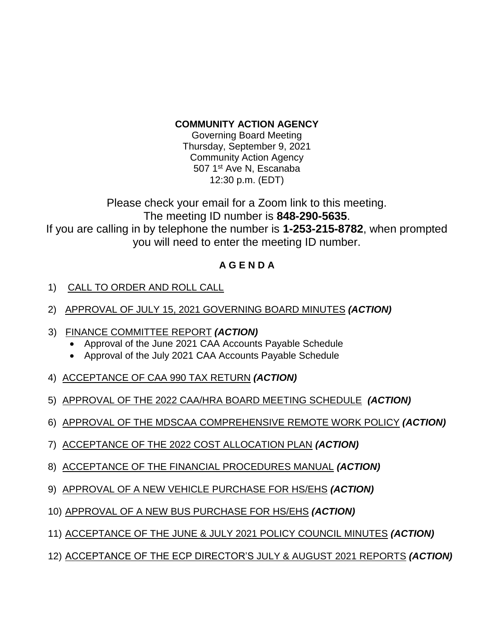## **COMMUNITY ACTION AGENCY**

Governing Board Meeting Thursday, September 9, 2021 Community Action Agency 507 1<sup>st</sup> Ave N, Escanaba 12:30 p.m. (EDT)

Please check your email for a Zoom link to this meeting. The meeting ID number is **848-290-5635**. If you are calling in by telephone the number is **1-253-215-8782**, when prompted you will need to enter the meeting ID number.

## **A G E N D A**

- 1) CALL TO ORDER AND ROLL CALL
- 2) APPROVAL OF JULY 15, 2021 GOVERNING BOARD MINUTES *(ACTION)*
- 3) FINANCE COMMITTEE REPORT *(ACTION)*
	- Approval of the June 2021 CAA Accounts Payable Schedule
	- Approval of the July 2021 CAA Accounts Payable Schedule
- 4) ACCEPTANCE OF CAA 990 TAX RETURN *(ACTION)*
- 5) APPROVAL OF THE 2022 CAA/HRA BOARD MEETING SCHEDULE *(ACTION)*
- 6) APPROVAL OF THE MDSCAA COMPREHENSIVE REMOTE WORK POLICY *(ACTION)*
- 7) ACCEPTANCE OF THE 2022 COST ALLOCATION PLAN *(ACTION)*
- 8) ACCEPTANCE OF THE FINANCIAL PROCEDURES MANUAL *(ACTION)*
- 9) APPROVAL OF A NEW VEHICLE PURCHASE FOR HS/EHS *(ACTION)*
- 10) APPROVAL OF A NEW BUS PURCHASE FOR HS/EHS *(ACTION)*
- 11) ACCEPTANCE OF THE JUNE & JULY 2021 POLICY COUNCIL MINUTES *(ACTION)*
- 12) ACCEPTANCE OF THE ECP DIRECTOR'S JULY & AUGUST 2021 REPORTS *(ACTION)*